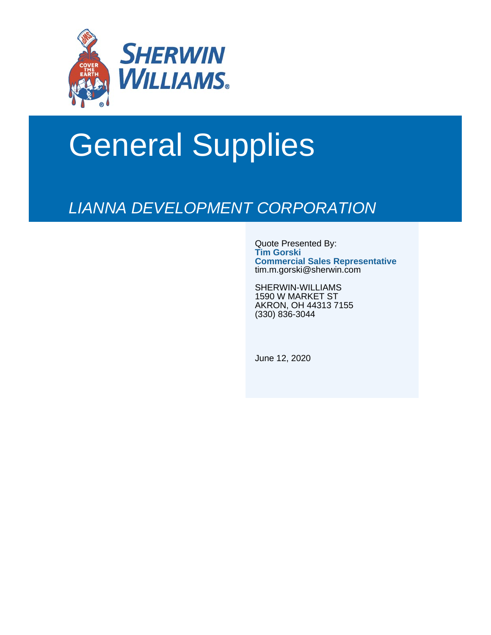

# General Supplies

## LIANNA DEVELOPMENT CORPORATION

Quote Presented By: **Tim Gorski Commercial Sales Representative** tim.m.gorski@sherwin.com

SHERWIN-WILLIAMS 1590 W MARKET ST AKRON, OH 44313 7155 (330) 836-3044

June 12, 2020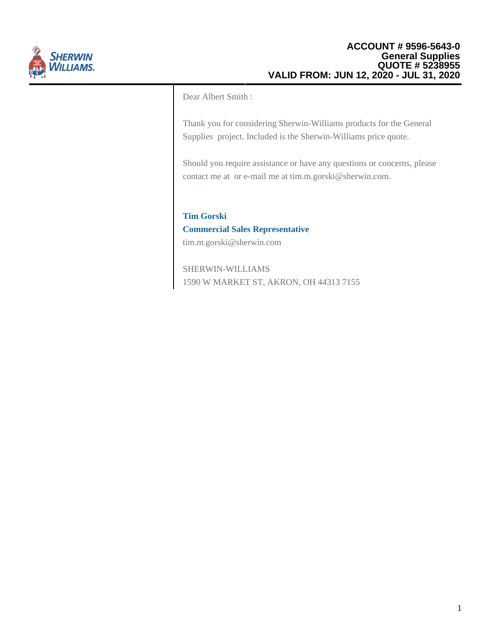

Dear Albert Smith :

Thank you for considering Sherwin-Williams products for the General Supplies project. Included is the Sherwin-Williams price quote.

Should you require assistance or have any questions or concerns, please contact me at or e-mail me at tim.m.gorski@sherwin.com.

### **Tim Gorski**

#### **Commercial Sales Representative**

tim.m.gorski@sherwin.com

SHERWIN-WILLIAMS 1590 W MARKET ST, AKRON, OH 44313 7155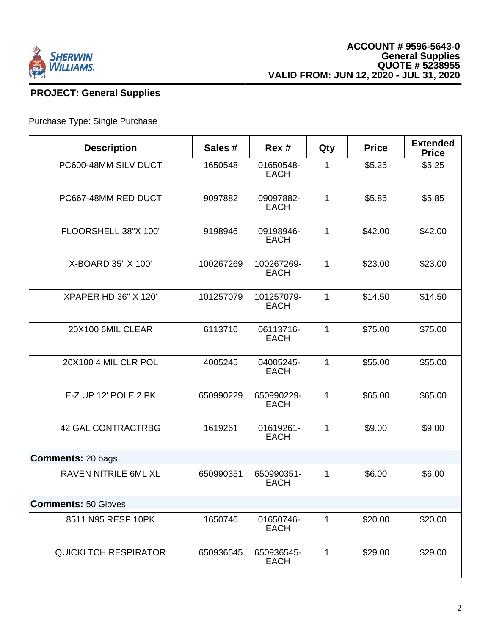

#### **PROJECT: General Supplies**

#### Purchase Type: Single Purchase

| <b>Description</b>          | Sales #   | Rex #                     | Qty | <b>Price</b> | <b>Extended</b><br><b>Price</b> |
|-----------------------------|-----------|---------------------------|-----|--------------|---------------------------------|
| PC600-48MM SILV DUCT        | 1650548   | .01650548-<br><b>EACH</b> | 1   | \$5.25       | \$5.25                          |
| PC667-48MM RED DUCT         | 9097882   | .09097882-<br><b>EACH</b> | 1   | \$5.85       | \$5.85                          |
| FLOORSHELL 38"X 100"        | 9198946   | .09198946-<br><b>EACH</b> | 1   | \$42.00      | \$42.00                         |
| X-BOARD 35" X 100"          | 100267269 | 100267269-<br><b>EACH</b> | 1   | \$23.00      | \$23.00                         |
| <b>XPAPER HD 36" X 120"</b> | 101257079 | 101257079-<br><b>EACH</b> | 1   | \$14.50      | \$14.50                         |
| 20X100 6MIL CLEAR           | 6113716   | .06113716-<br><b>EACH</b> | 1   | \$75.00      | \$75.00                         |
| 20X100 4 MIL CLR POL        | 4005245   | .04005245-<br><b>EACH</b> | 1   | \$55.00      | \$55.00                         |
| E-Z UP 12' POLE 2 PK        | 650990229 | 650990229-<br><b>EACH</b> | 1   | \$65.00      | \$65.00                         |
| <b>42 GAL CONTRACTRBG</b>   | 1619261   | .01619261-<br><b>EACH</b> | 1   | \$9.00       | \$9.00                          |
| <b>Comments: 20 bags</b>    |           |                           |     |              |                                 |
| <b>RAVEN NITRILE 6ML XL</b> | 650990351 | 650990351-<br><b>EACH</b> | 1   | \$6.00       | \$6.00                          |
| <b>Comments: 50 Gloves</b>  |           |                           |     |              |                                 |
| 8511 N95 RESP 10PK          | 1650746   | .01650746-<br><b>EACH</b> | 1   | \$20.00      | \$20.00                         |
| <b>QUICKLTCH RESPIRATOR</b> | 650936545 | 650936545-<br><b>EACH</b> | 1   | \$29.00      | \$29.00                         |